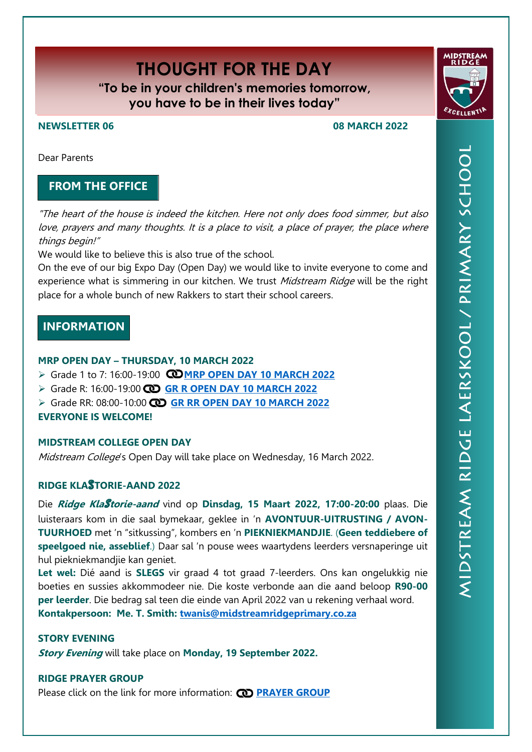# **THOUGHT FOR THE DAY**

**"To be in your children's memories tomorrow, you have to be in their lives today"**

# **NEWSLETTER 06 08 MARCH 2022**

Dear Parents

# **FROM THE OFFICE**

"The heart of the house is indeed the kitchen. Here not only does food simmer, but also love, prayers and many thoughts. It is a place to visit, a place of prayer, the place where things begin!"

We would like to believe this is also true of the school.

On the eve of our big Expo Day (Open Day) we would like to invite everyone to come and experience what is simmering in our kitchen. We trust Midstream Ridge will be the right place for a whole bunch of new Rakkers to start their school careers.

# **INFORMATION**

# **MRP OPEN DAY – THURSDAY, 10 MARCH 2022**

- Grade 1 to 7: 16:00-19:00 **[MRP OPEN DAY](https://midstreamridgeprimary.co.za/wp-content/uploads/2022/02/Opedag.pdf) 10 MARCH 2022**
- Grade R: 16:00-19:00 **[GR R OPEN DAY 10 MARCH](https://www.canva.com/design/DAE5k7E3fKs/df59UhQCjBAM_ycqxK9VqQ/watch?utm_content=DAE5k7E3fKs&utm_campaign=designshare&utm_medium=link&utm_source=sharebutton) 2022**
- Grade RR: 08:00-10:00 **[GR RR OPEN DAY](https://www.youtube.com/watch?v=DNHVLZ7ryPY) 10 MARCH 2022**

**EVERYONE IS WELCOME!**

# **MIDSTREAM COLLEGE OPEN DAY**

Midstream College's Open Day will take place on Wednesday, 16 March 2022.

# **RIDGE KLA**S**TORIE-AAND 2022**

Die **Ridge Kla**S**torie-aand** vind op **Dinsdag, 15 Maart 2022, 17:00-20:00** plaas. Die luisteraars kom in die saal bymekaar, geklee in 'n **AVONTUUR-UITRUSTING / AVON-TUURHOED** met 'n "sitkussing", kombers en 'n **PIEKNIEKMANDJIE**. (**Geen teddiebere of speelgoed nie, asseblief**.) Daar sal 'n pouse wees waartydens leerders versnaperinge uit hul piekniekmandjie kan geniet.

**Let wel:** Dié aand is **SLEGS** vir graad 4 tot graad 7-leerders. Ons kan ongelukkig nie boeties en sussies akkommodeer nie. Die koste verbonde aan die aand beloop **R90-00 per leerder**. Die bedrag sal teen die einde van April 2022 van u rekening verhaal word. **Kontakpersoon: Me. T. Smith: [twanis@midstreamridgeprimary.co.za](mailto:twanis@midstreamridgeprimary.co.za)**

### **STORY EVENING**

**Story Evening** will take place on **Monday, 19 September 2022.**

### **RIDGE PRAYER GROUP**

Please click on the link for more information: **CO [PRAYER GROUP](https://midstreamridgeprimary.co.za/wp-content/uploads/2022/02/Prayergroup.pdf)** 

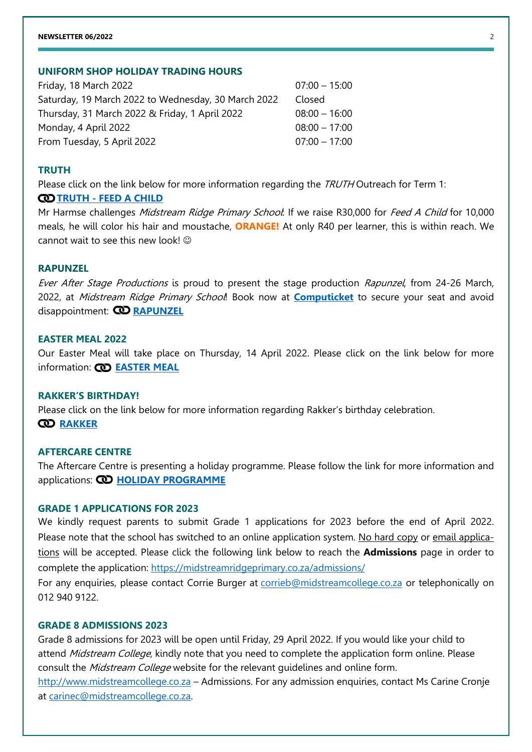#### **NEWSLETTER 06/2022** 2

# **UNIFORM SHOP HOLIDAY TRADING HOURS**

| Friday, 18 March 2022                               | $07:00 - 15:00$ |
|-----------------------------------------------------|-----------------|
| Saturday, 19 March 2022 to Wednesday, 30 March 2022 | Closed          |
| Thursday, 31 March 2022 & Friday, 1 April 2022      | $08:00 - 16:00$ |
| Monday, 4 April 2022                                | $08:00 - 17:00$ |
| From Tuesday, 5 April 2022                          | $07:00 - 17:00$ |

#### **TRUTH**

Please click on the link below for more information regarding the TRUTH Outreach for Term 1:

#### **CO** TRUTH - [FEED A CHILD](https://midstreamridgeprimary.co.za/wp-content/uploads/2022/02/FeedaChildEng2022.pdf)

Mr Harmse challenges Midstream Ridge Primary School: If we raise R30,000 for Feed A Child for 10,000 meals, he will color his hair and moustache, **ORANGE!** At only R40 per learner, this is within reach. We cannot wait to see this new look!  $\odot$ 

#### **RAPUNZEL**

Ever After Stage Productions is proud to present the stage production Rapunzel, from 24-26 March, 2022, at Midstream Ridge Primary School! Book now at **[Computicket](https://tickets.computicket.com/event/rapunzel/6726245)** to secure your seat and avoid disappointment: **[RAPUNZEL](https://midstreamridgeprimary.co.za/wp-content/uploads/2022/03/mrp2022Nuusbrief06Rapunzel.pdf)**

#### **EASTER MEAL 2022**

Our Easter Meal will take place on Thursday, 14 April 2022. Please click on the link below for more information: **[EASTER MEAL](https://midstreamridgeprimary.co.za/wp-content/uploads/2022/03/mrp2022Easter-Meal.pdf)**

#### **RAKKER'S BIRTHDAY!**

Please click on the link below for more information regarding Rakker's birthday celebration. **[RAKKER](https://midstreamridgeprimary.co.za/wp-content/uploads/2022/03/mrp2022RakkerVerjaarsdagBirthday.pdf)**

#### **AFTERCARE CENTRE**

The Aftercare Centre is presenting a holiday programme. Please follow the link for more information and applications: **CO [HOLIDAY PROGRAMME](https://midstreamridgeprimary.co.za/wp-content/uploads/2022/03/2022AftercareHolidayProgrammeMar.pdf)** 

#### **GRADE 1 APPLICATIONS FOR 2023**

We kindly request parents to submit Grade 1 applications for 2023 before the end of April 2022. Please note that the school has switched to an online application system. No hard copy or email applications will be accepted. Please click the following link below to reach the **Admissions** page in order to complete the application:<https://midstreamridgeprimary.co.za/admissions/>

For any enquiries, please contact Corrie Burger at [corrieb@midstreamcollege.co.za](mailto:corrieb@midstreamcollege.co.za) or telephonically on 012 940 9122.

### **GRADE 8 ADMISSIONS 2023**

Grade 8 admissions for 2023 will be open until Friday, 29 April 2022. If you would like your child to attend Midstream College, kindly note that you need to complete the application form online. Please consult the *Midstream College* website for the relevant guidelines and online form. [http://www.midstreamcollege.co.za](http://www.midstreamcollege.co.za/index.php/admissions) – Admissions. For any admission enquiries, contact Ms Carine Cronje

at [carinec@midstreamcollege.co.za.](mailto:mventer@midstreamcollege.co.za)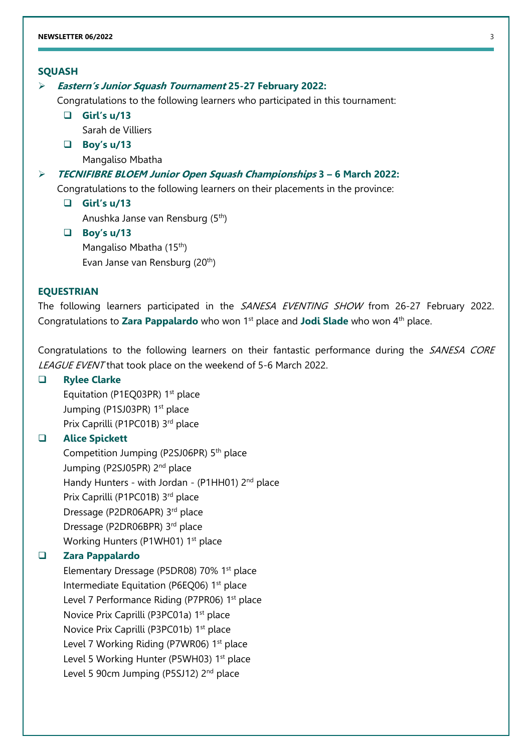#### **SQUASH**

#### **Eastern's Junior Squash Tournament 25-27 February 2022:**

Congratulations to the following learners who participated in this tournament:

 **Girl's u/13** Sarah de Villiers

**Boy's u/13**

Mangaliso Mbatha

# **TECNIFIBRE BLOEM Junior Open Squash Championships 3 – 6 March 2022:**

Congratulations to the following learners on their placements in the province:

**Girl's u/13**

Anushka Janse van Rensburg (5th)

 **Boy's u/13** Mangaliso Mbatha (15<sup>th</sup>) Evan Janse van Rensburg (20th)

#### **EQUESTRIAN**

The following learners participated in the SANESA EVENTING SHOW from 26-27 February 2022. Congratulations to **Zara Pappalardo** who won 1<sup>st</sup> place and **Jodi Slade** who won 4<sup>th</sup> place.

Congratulations to the following learners on their fantastic performance during the SANESA CORE LEAGUE EVENT that took place on the weekend of 5-6 March 2022.

#### **Rylee Clarke**

Equitation (P1EQ03PR) 1<sup>st</sup> place Jumping (P1SJ03PR) 1<sup>st</sup> place Prix Caprilli (P1PC01B) 3rd place

# **Alice Spickett**

Competition Jumping (P2SJ06PR) 5<sup>th</sup> place Jumping (P2SJ05PR) 2<sup>nd</sup> place Handy Hunters - with Jordan - (P1HH01) 2<sup>nd</sup> place Prix Caprilli (P1PC01B) 3rd place Dressage (P2DR06APR) 3rd place Dressage (P2DR06BPR) 3<sup>rd</sup> place Working Hunters (P1WH01) 1<sup>st</sup> place

#### **Zara Pappalardo**

Elementary Dressage (P5DR08) 70% 1<sup>st</sup> place Intermediate Equitation (P6EQ06) 1<sup>st</sup> place Level 7 Performance Riding (P7PR06) 1<sup>st</sup> place Novice Prix Caprilli (P3PC01a) 1<sup>st</sup> place Novice Prix Caprilli (P3PC01b) 1<sup>st</sup> place Level 7 Working Riding (P7WR06) 1<sup>st</sup> place Level 5 Working Hunter (P5WH03) 1<sup>st</sup> place Level 5 90cm Jumping (P5SJ12) 2<sup>nd</sup> place